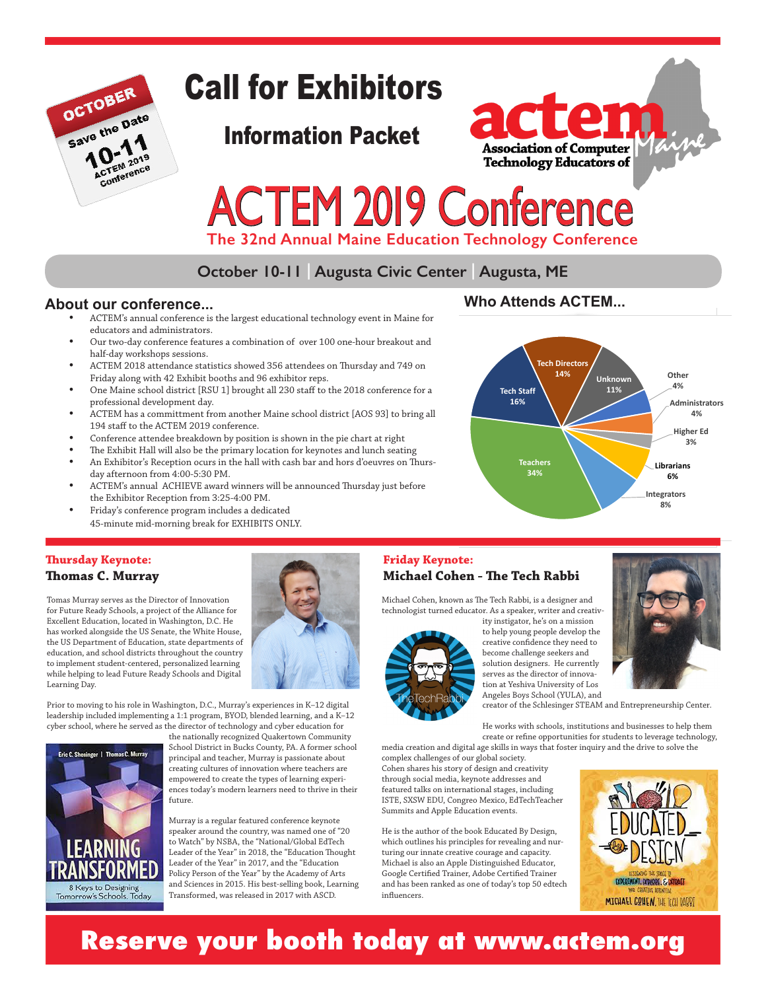

# Call for Exhibitors

Information Packet



# ACTEM 2019 Conference

 **The 32nd Annual Maine Education Technology Conference**

# **October 10-11 | Augusta Civic Center | Augusta, ME**

#### **About our conference...**

- ACTEM's annual conference is the largest educational technology event in Maine for educators and administrators.
- Our two-day conference features a combination of over 100 one-hour breakout and half-day workshops sessions.
- ACTEM 2018 attendance statistics showed 356 attendees on Thursday and 749 on Friday along with 42 Exhibit booths and 96 exhibitor reps.
- One Maine school district [RSU 1] brought all 230 staff to the 2018 conference for a professional development day.
- ACTEM has a committment from another Maine school district [AOS 93] to bring all 194 staff to the ACTEM 2019 conference.
- Conference attendee breakdown by position is shown in the pie chart at right
- The Exhibit Hall will also be the primary location for keynotes and lunch seating • An Exhibitor's Reception ocurs in the hall with cash bar and hors d'oeuvres on Thursday afternoon from 4:00-5:30 PM.
- ACTEM's annual ACHIEVE award winners will be announced Thursday just before the Exhibitor Reception from 3:25-4:00 PM.
- Friday's conference program includes a dedicated 45-minute mid-morning break for EXHIBITS ONLY.

# **Who Attends ACTEM...**



#### **Thursday Keynote: Thomas C. Murray**

Tomas Murray serves as the Director of Innovation for Future Ready Schools, a project of the Alliance for Excellent Education, located in Washington, D.C. He has worked alongside the US Senate, the White House, the US Department of Education, state departments of education, and school districts throughout the country to implement student-centered, personalized learning while helping to lead Future Ready Schools and Digital Learning Day.



Prior to moving to his role in Washington, D.C., Murray's experiences in K–12 digital leadership included implementing a 1:1 program, BYOD, blended learning, and a K–12 cyber school, where he served as the director of technology and cyber education for



the nationally recognized Quakertown Community School District in Bucks County, PA. A former school principal and teacher, Murray is passionate about creating cultures of innovation where teachers are empowered to create the types of learning experiences today's modern learners need to thrive in their future.

Murray is a regular featured conference keynote speaker around the country, was named one of "20 to Watch" by NSBA, the "National/Global EdTech Leader of the Year" in 2018, the "Education Thought Leader of the Year" in 2017, and the "Education Policy Person of the Year" by the Academy of Arts and Sciences in 2015. His best-selling book, Learning Transformed, was released in 2017 with ASCD.

#### **Friday Keynote: Michael Cohen - The Tech Rabbi**

Michael Cohen, known as The Tech Rabbi, is a designer and technologist turned educator. As a speaker, writer and creativ-



ity instigator, he's on a mission to help young people develop the creative confidence they need to become challenge seekers and solution designers. He currently serves as the director of innovation at Yeshiva University of Los Angeles Boys School (YULA), and



creator of the Schlesinger STEAM and Entrepreneurship Center.

He works with schools, institutions and businesses to help them create or refine opportunities for students to leverage technology, media creation and digital age skills in ways that foster inquiry and the drive to solve the

complex challenges of our global society. Cohen shares his story of design and creativity through social media, keynote addresses and featured talks on international stages, including ISTE, SXSW EDU, Congreo Mexico, EdTechTeacher Summits and Apple Education events.

He is the author of the book Educated By Design, which outlines his principles for revealing and nurturing our innate creative courage and capacity. Michael is also an Apple Distinguished Educator, Google Certified Trainer, Adobe Certified Trainer and has been ranked as one of today's top 50 edtech influencers.



# **Reserve your booth today at www.actem.org**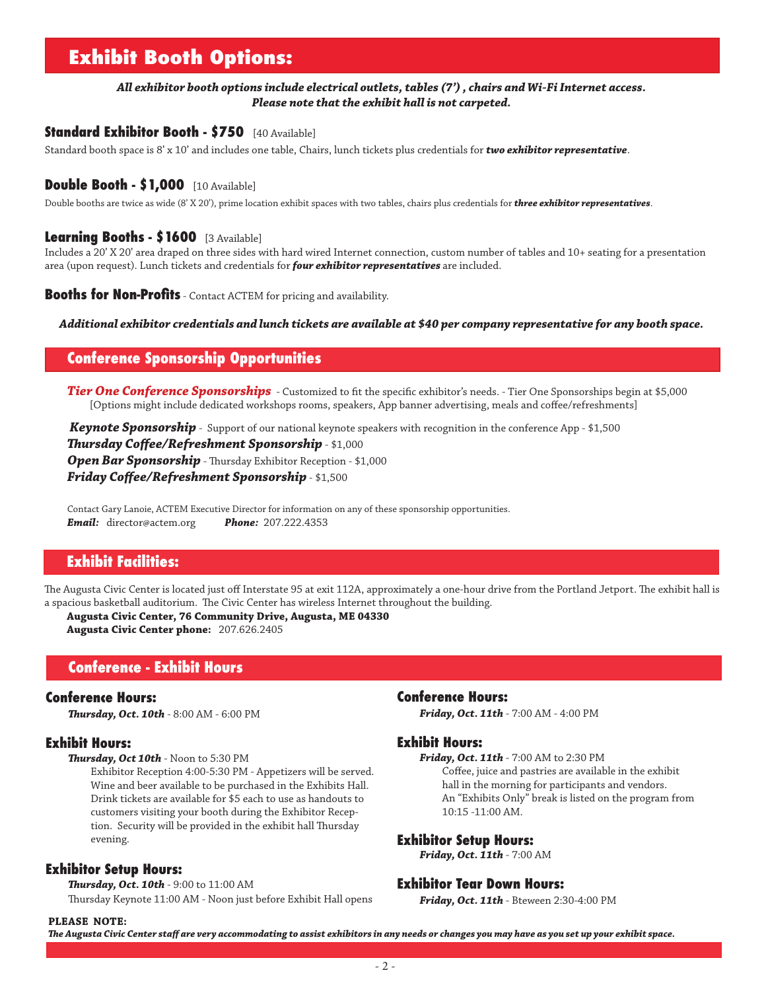# **Exhibit Booth Options:**

#### *All exhibitor booth options include electrical outlets, tables (7') , chairs and Wi-Fi Internet access. Please note that the exhibit hall is not carpeted.*

#### **Standard Exhibitor Booth - \$750** [40 Available]

Standard booth space is 8' x 10' and includes one table, Chairs, lunch tickets plus credentials for *two exhibitor representative*.

#### **Double Booth - \$1,000** [10 Available]

Double booths are twice as wide (8' X 20'), prime location exhibit spaces with two tables, chairs plus credentials for *three exhibitor representatives*.

#### **Learning Booths - \$1600** [3 Available]

Includes a 20' X 20' area draped on three sides with hard wired Internet connection, custom number of tables and 10+ seating for a presentation area (upon request). Lunch tickets and credentials for *four exhibitor representatives* are included.

**Booths for Non-Profits** - Contact ACTEM for pricing and availability.

*Additional exhibitor credentials and lunch tickets are available at \$40 per company representative for any booth space.* **Confer**

#### **Conference Sponsorship Opportunities**

*Tier One Conference Sponsorships* - Customized to fit the specific exhibitor's needs. - Tier One Sponsorships begin at \$5,000 [Options might include dedicated workshops rooms, speakers, App banner advertising, meals and coffee/refreshments]

*Keynote Sponsorship* - Support of our national keynote speakers with recognition in the conference App - \$1,500 *Thursday Coffee/Refreshment Sponsorship* - \$1,000 *Open Bar Sponsorship* - Thursday Exhibitor Reception - \$1,000 *Friday Coffee/Refreshment Sponsorship* - \$1,500

Contact Gary Lanoie, ACTEM Executive Director for information on any of these sponsorship opportunities. *Email:* director@actem.org *Phone:* 207.222.4353

#### **Exhibit Facilities:**

The Augusta Civic Center is located just off Interstate 95 at exit 112A, approximately a one-hour drive from the Portland Jetport. The exhibit hall is a spacious basketball auditorium. The Civic Center has wireless Internet throughout the building.

**Augusta Civic Center, 76 Community Drive, Augusta, ME 04330 Augusta Civic Center phone:** 207.626.2405

#### **Conference - Exhibit Hours**

#### **Conference Hours:**

*Thursday, Oct. 10th* - 8:00 AM - 6:00 PM

#### **Exhibit Hours:**

*Thursday, Oct 10th* - Noon to 5:30 PM

Exhibitor Reception 4:00-5:30 PM - Appetizers will be served. Wine and beer available to be purchased in the Exhibits Hall. Drink tickets are available for \$5 each to use as handouts to customers visiting your booth during the Exhibitor Reception. Security will be provided in the exhibit hall Thursday evening.

#### **Exhibitor Setup Hours:**

*Thursday, Oct. 10th* - 9:00 to 11:00 AM

Thursday Keynote 11:00 AM - Noon just before Exhibit Hall opens

#### **Conference Hours:**

*Friday, Oct. 11th* - 7:00 AM - 4:00 PM

#### **Exhibit Hours:**

*Friday, Oct. 11th* - 7:00 AM to 2:30 PM Coffee, juice and pastries are available in the exhibit hall in the morning for participants and vendors. An "Exhibits Only" break is listed on the program from 10:15 -11:00 AM.

#### **Exhibitor Setup Hours:**

*Friday, Oct. 11th* - 7:00 AM

#### **Exhibitor Tear Down Hours:**

*Friday, Oct. 11th* - Bteween 2:30-4:00 PM

#### **PLEASE NOTE:**

*The Augusta Civic Center staff are very accommodating to assist exhibitors in any needs or changes you may have as you set up your exhibit space.*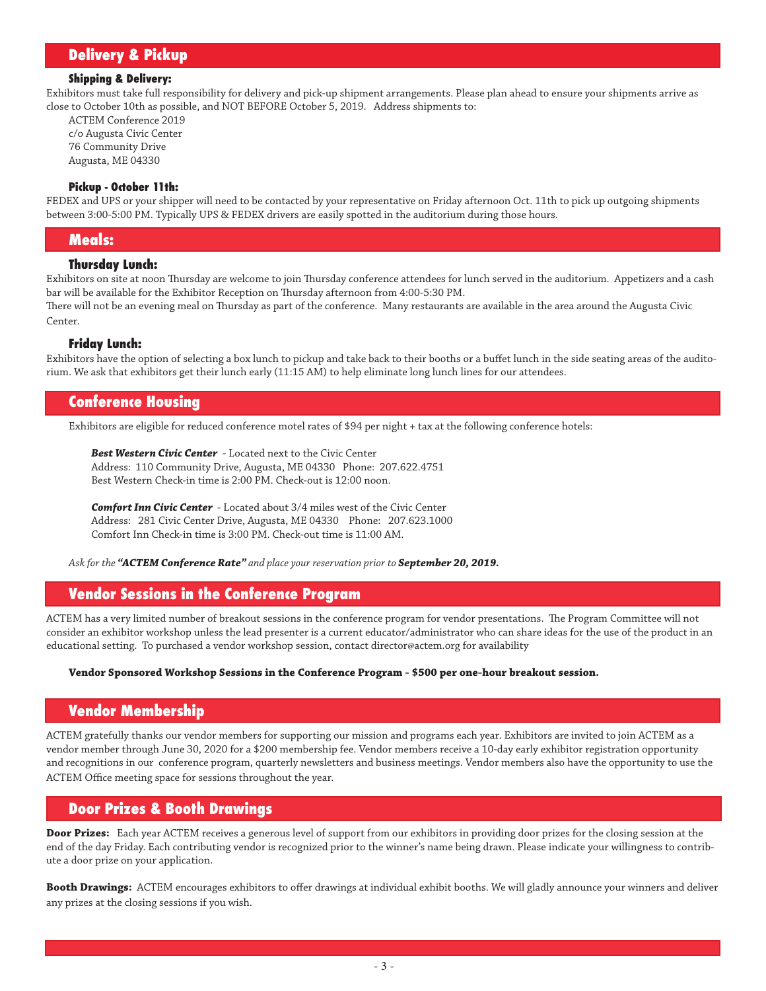## **Delivery & Pickup**

#### **Shipping & Delivery:**

Exhibitors must take full responsibility for delivery and pick-up shipment arrangements. Please plan ahead to ensure your shipments arrive as close to October 10th as possible, and NOT BEFORE October 5, 2019. Address shipments to:

ACTEM Conference 2019 c/o Augusta Civic Center 76 Community Drive Augusta, ME 04330

#### **Pickup - October 11th:**

FEDEX and UPS or your shipper will need to be contacted by your representative on Friday afternoon Oct. 11th to pick up outgoing shipments between 3:00-5:00 PM. Typically UPS & FEDEX drivers are easily spotted in the auditorium during those hours.

#### **Meals:**

#### **Thursday Lunch:**

Exhibitors on site at noon Thursday are welcome to join Thursday conference attendees for lunch served in the auditorium. Appetizers and a cash bar will be available for the Exhibitor Reception on Thursday afternoon from 4:00-5:30 PM.

There will not be an evening meal on Thursday as part of the conference. Many restaurants are available in the area around the Augusta Civic Center.

#### **Friday Lunch:**

Exhibitors have the option of selecting a box lunch to pickup and take back to their booths or a buffet lunch in the side seating areas of the auditorium. We ask that exhibitors get their lunch early (11:15 AM) to help eliminate long lunch lines for our attendees.

#### **Conference Housing**

Exhibitors are eligible for reduced conference motel rates of \$94 per night + tax at the following conference hotels:

*Best Western Civic Center* - Located next to the Civic Center Address: 110 Community Drive, Augusta, ME 04330 Phone: 207.622.4751 Best Western Check-in time is 2:00 PM. Check-out is 12:00 noon.

*Comfort Inn Civic Center* - Located about 3/4 miles west of the Civic Center Address: 281 Civic Center Drive, Augusta, ME 04330 Phone: 207.623.1000 Comfort Inn Check-in time is 3:00 PM. Check-out time is 11:00 AM.

*Ask for the "ACTEM Conference Rate" and place your reservation prior to September 20, 2019.*

#### **Vendor Sessions in the Conference Program**

ACTEM has a very limited number of breakout sessions in the conference program for vendor presentations. The Program Committee will not consider an exhibitor workshop unless the lead presenter is a current educator/administrator who can share ideas for the use of the product in an educational setting. To purchased a vendor workshop session, contact director@actem.org for availability

#### **Vendor Sponsored Workshop Sessions in the Conference Program - \$500 per one-hour breakout session.**

#### **Vendor Membership**

ACTEM gratefully thanks our vendor members for supporting our mission and programs each year. Exhibitors are invited to join ACTEM as a vendor member through June 30, 2020 for a \$200 membership fee. Vendor members receive a 10-day early exhibitor registration opportunity and recognitions in our conference program, quarterly newsletters and business meetings. Vendor members also have the opportunity to use the ACTEM Office meeting space for sessions throughout the year.

#### **Door Prizes & Booth Drawings**

**Door Prizes:** Each year ACTEM receives a generous level of support from our exhibitors in providing door prizes for the closing session at the end of the day Friday. Each contributing vendor is recognized prior to the winner's name being drawn. Please indicate your willingness to contribute a door prize on your application.

**Booth Drawings:** ACTEM encourages exhibitors to offer drawings at individual exhibit booths. We will gladly announce your winners and deliver any prizes at the closing sessions if you wish.